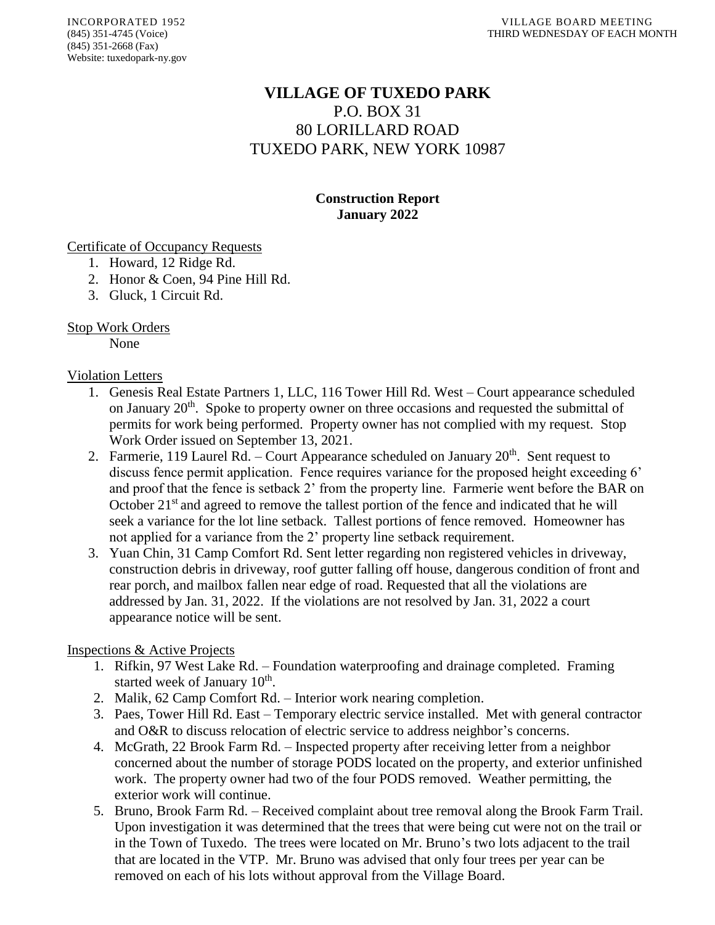# **VILLAGE OF TUXEDO PARK** P.O. BOX 31 80 LORILLARD ROAD TUXEDO PARK, NEW YORK 10987

## **Construction Report January 2022**

Certificate of Occupancy Requests

- 1. Howard, 12 Ridge Rd.
- 2. Honor & Coen, 94 Pine Hill Rd.
- 3. Gluck, 1 Circuit Rd.

#### Stop Work Orders

None

#### Violation Letters

- 1. Genesis Real Estate Partners 1, LLC, 116 Tower Hill Rd. West Court appearance scheduled on January 20<sup>th</sup>. Spoke to property owner on three occasions and requested the submittal of permits for work being performed. Property owner has not complied with my request. Stop Work Order issued on September 13, 2021.
- 2. Farmerie, 119 Laurel Rd. Court Appearance scheduled on January  $20<sup>th</sup>$ . Sent request to discuss fence permit application. Fence requires variance for the proposed height exceeding 6' and proof that the fence is setback 2' from the property line. Farmerie went before the BAR on October  $21<sup>st</sup>$  and agreed to remove the tallest portion of the fence and indicated that he will seek a variance for the lot line setback. Tallest portions of fence removed. Homeowner has not applied for a variance from the 2' property line setback requirement.
- 3. Yuan Chin, 31 Camp Comfort Rd. Sent letter regarding non registered vehicles in driveway, construction debris in driveway, roof gutter falling off house, dangerous condition of front and rear porch, and mailbox fallen near edge of road. Requested that all the violations are addressed by Jan. 31, 2022. If the violations are not resolved by Jan. 31, 2022 a court appearance notice will be sent.

## Inspections & Active Projects

- 1. Rifkin, 97 West Lake Rd. Foundation waterproofing and drainage completed. Framing started week of January 10<sup>th</sup>.
- 2. Malik, 62 Camp Comfort Rd. Interior work nearing completion.
- 3. Paes, Tower Hill Rd. East Temporary electric service installed. Met with general contractor and O&R to discuss relocation of electric service to address neighbor's concerns.
- 4. McGrath, 22 Brook Farm Rd. Inspected property after receiving letter from a neighbor concerned about the number of storage PODS located on the property, and exterior unfinished work. The property owner had two of the four PODS removed. Weather permitting, the exterior work will continue.
- 5. Bruno, Brook Farm Rd. Received complaint about tree removal along the Brook Farm Trail. Upon investigation it was determined that the trees that were being cut were not on the trail or in the Town of Tuxedo. The trees were located on Mr. Bruno's two lots adjacent to the trail that are located in the VTP. Mr. Bruno was advised that only four trees per year can be removed on each of his lots without approval from the Village Board.